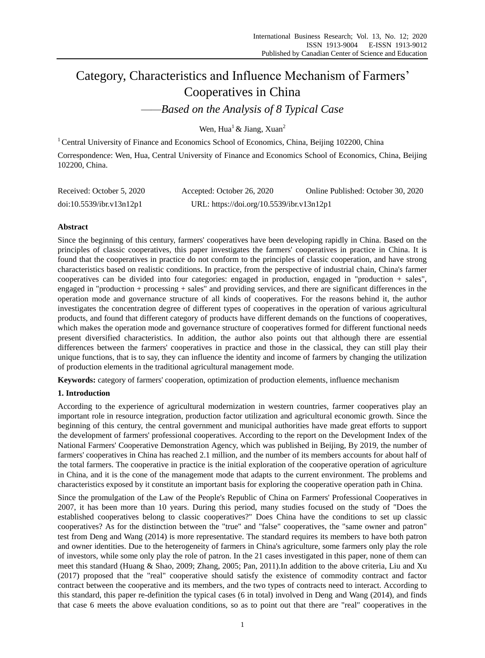# Category, Characteristics and Influence Mechanism of Farmers' Cooperatives in China

*——Based on the Analysis of 8 Typical Case*

Wen, Hua<sup>1</sup> & Jiang, Xuan<sup>2</sup>

<sup>1</sup> Central University of Finance and Economics School of Economics, China, Beijing 102200, China Correspondence: Wen, Hua, Central University of Finance and Economics School of Economics, China, Beijing 102200, China.

| Received: October 5, 2020 | Accepted: October 26, 2020                | Online Published: October 30, 2020 |
|---------------------------|-------------------------------------------|------------------------------------|
| doi:10.5539/ibr.v13n12p1  | URL: https://doi.org/10.5539/ibr.v13n12p1 |                                    |

# **Abstract**

Since the beginning of this century, farmers' cooperatives have been developing rapidly in China. Based on the principles of classic cooperatives, this paper investigates the farmers' cooperatives in practice in China. It is found that the cooperatives in practice do not conform to the principles of classic cooperation, and have strong characteristics based on realistic conditions. In practice, from the perspective of industrial chain, China's farmer cooperatives can be divided into four categories: engaged in production, engaged in "production + sales", engaged in "production + processing + sales" and providing services, and there are significant differences in the operation mode and governance structure of all kinds of cooperatives. For the reasons behind it, the author investigates the concentration degree of different types of cooperatives in the operation of various agricultural products, and found that different category of products have different demands on the functions of cooperatives, which makes the operation mode and governance structure of cooperatives formed for different functional needs present diversified characteristics. In addition, the author also points out that although there are essential differences between the farmers' cooperatives in practice and those in the classical, they can still play their unique functions, that is to say, they can influence the identity and income of farmers by changing the utilization of production elements in the traditional agricultural management mode.

**Keywords:** category of farmers' cooperation, optimization of production elements, influence mechanism

# **1. Introduction**

According to the experience of agricultural modernization in western countries, farmer cooperatives play an important role in resource integration, production factor utilization and agricultural economic growth. Since the beginning of this century, the central government and municipal authorities have made great efforts to support the development of farmers' professional cooperatives. According to the report on the Development Index of the National Farmers' Cooperative Demonstration Agency, which was published in Beijing, By 2019, the number of farmers' cooperatives in China has reached 2.1 million, and the number of its members accounts for about half of the total farmers. The cooperative in practice is the initial exploration of the cooperative operation of agriculture in China, and it is the cone of the management mode that adapts to the current environment. The problems and characteristics exposed by it constitute an important basis for exploring the cooperative operation path in China.

Since the promulgation of the Law of the People's Republic of China on Farmers' Professional Cooperatives in 2007, it has been more than 10 years. During this period, many studies focused on the study of "Does the established cooperatives belong to classic cooperatives?" Does China have the conditions to set up classic cooperatives? As for the distinction between the "true" and "false" cooperatives, the "same owner and patron" test from Deng and Wang (2014) is more representative. The standard requires its members to have both patron and owner identities. Due to the heterogeneity of farmers in China's agriculture, some farmers only play the role of investors, while some only play the role of patron. In the 21 cases investigated in this paper, none of them can meet this standard (Huang & Shao, 2009; Zhang, 2005; Pan, 2011).In addition to the above criteria, Liu and Xu (2017) proposed that the "real" cooperative should satisfy the existence of commodity contract and factor contract between the cooperative and its members, and the two types of contracts need to interact. According to this standard, this paper re-definition the typical cases (6 in total) involved in Deng and Wang (2014), and finds that case 6 meets the above evaluation conditions, so as to point out that there are "real" cooperatives in the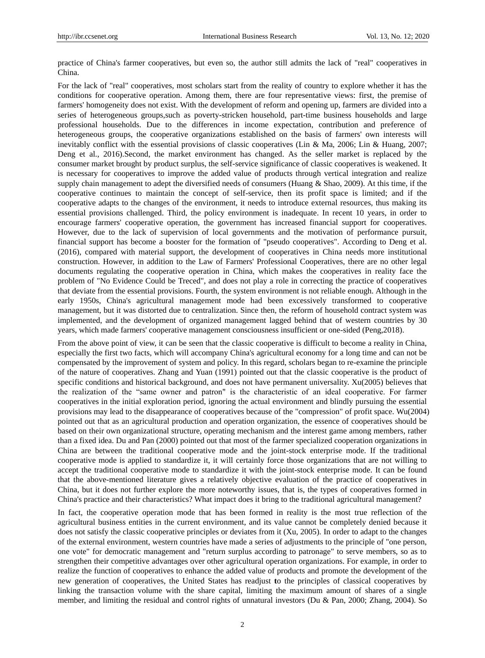practice of China's farmer cooperatives, but even so, the author still admits the lack of "real" cooperatives in China.

For the lack of "real" cooperatives, most scholars start from the reality of country to explore whether it has the conditions for cooperative operation. Among them, there are four representative views: first, the premise of farmers' homogeneity does not exist. With the development of reform and opening up, farmers are divided into a series of heterogeneous groups,such as poverty-stricken household, part-time business households and large professional households. Due to the differences in income expectation, contribution and preference of heterogeneous groups, the cooperative organizations established on the basis of farmers' own interests will inevitably conflict with the essential provisions of classic cooperatives (Lin & Ma, 2006; Lin & Huang, 2007; Deng et al., 2016).Second, the market environment has changed. As the seller market is replaced by the consumer market brought by product surplus, the self-service significance of classic cooperatives is weakened. It is necessary for cooperatives to improve the added value of products through vertical integration and realize supply chain management to adept the diversified needs of consumers (Huang & Shao, 2009). At this time, if the cooperative continues to maintain the concept of self-service, then its profit space is limited; and if the cooperative adapts to the changes of the environment, it needs to introduce external resources, thus making its essential provisions challenged. Third, the policy environment is inadequate. In recent 10 years, in order to encourage farmers' cooperative operation, the government has increased financial support for cooperatives. However, due to the lack of supervision of local governments and the motivation of performance pursuit, financial support has become a booster for the formation of "pseudo cooperatives". According to Deng et al. (2016), compared with material support, the development of cooperatives in China needs more institutional construction. However, in addition to the Law of Farmers' Professional Cooperatives, there are no other legal documents regulating the cooperative operation in China, which makes the cooperatives in reality face the problem of "No Evidence Could be Treced", and does not play a role in correcting the practice of cooperatives that deviate from the essential provisions. Fourth, the system environment is not reliable enough. Although in the early 1950s, China's agricultural management mode had been excessively transformed to cooperative management, but it was distorted due to centralization. Since then, the reform of household contract system was implemented, and the development of organized management lagged behind that of western countries by 30 years, which made farmers' cooperative management consciousness insufficient or one-sided (Peng,2018).

From the above point of view, it can be seen that the classic cooperative is difficult to become a reality in China, especially the first two facts, which will accompany China's agricultural economy for a long time and can not be compensated by the improvement of system and policy. In this regard, scholars began to re-examine the principle of the nature of cooperatives. Zhang and Yuan (1991) pointed out that the classic cooperative is the product of specific conditions and historical background, and does not have permanent universality. Xu(2005) believes that the realization of the "same owner and patron" is the characteristic of an ideal cooperative. For farmer cooperatives in the initial exploration period, ignoring the actual environment and blindly pursuing the essential provisions may lead to the disappearance of cooperatives because of the "compression" of profit space. Wu(2004) pointed out that as an agricultural production and operation organization, the essence of cooperatives should be based on their own organizational structure, operating mechanism and the interest game among members, rather than a fixed idea. Du and Pan (2000) pointed out that most of the farmer specialized cooperation organizations in China are between the traditional cooperative mode and the joint-stock enterprise mode. If the traditional cooperative mode is applied to standardize it, it will certainly force those organizations that are not willing to accept the traditional cooperative mode to standardize it with the joint-stock enterprise mode. It can be found that the above-mentioned literature gives a relatively objective evaluation of the practice of cooperatives in China, but it does not further explore the more noteworthy issues, that is, the types of cooperatives formed in China's practice and their characteristics? What impact does it bring to the traditional agricultural management?

In fact, the cooperative operation mode that has been formed in reality is the most true reflection of the agricultural business entities in the current environment, and its value cannot be completely denied because it does not satisfy the classic cooperative principles or deviates from it (Xu, 2005). In order to adapt to the changes of the external environment, western countries have made a series of adjustments to the principle of "one person, one vote" for democratic management and "return surplus according to patronage" to serve members, so as to strengthen their competitive advantages over other agricultural operation organizations. For example, in order to realize the function of cooperatives to enhance the added value of products and promote the development of the new generation of cooperatives, the United States has readjust **t**o the principles of classical cooperatives by linking the transaction volume with the share capital, limiting the maximum amount of shares of a single member, and limiting the residual and control rights of unnatural investors (Du & Pan, 2000; Zhang, 2004). So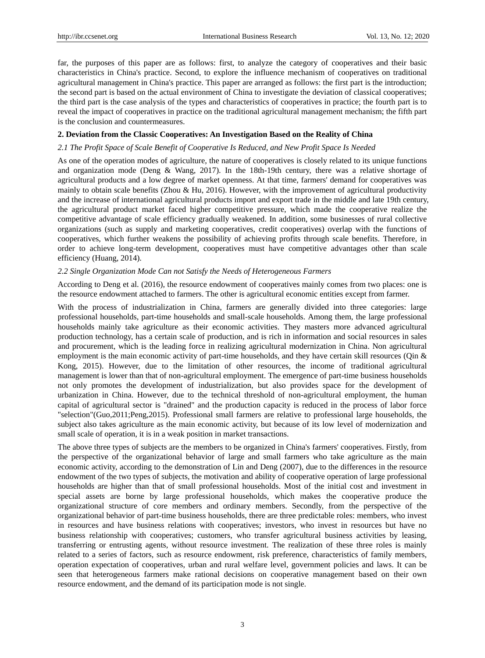far, the purposes of this paper are as follows: first, to analyze the category of cooperatives and their basic characteristics in China's practice. Second, to explore the influence mechanism of cooperatives on traditional agricultural management in China's practice. This paper are arranged as follows: the first part is the introduction; the second part is based on the actual environment of China to investigate the deviation of classical cooperatives; the third part is the case analysis of the types and characteristics of cooperatives in practice; the fourth part is to reveal the impact of cooperatives in practice on the traditional agricultural management mechanism; the fifth part is the conclusion and countermeasures.

#### **2. Deviation from the Classic Cooperatives: An Investigation Based on the Reality of China**

#### *2.1 The Profit Space of Scale Benefit of Cooperative Is Reduced, and New Profit Space Is Needed*

As one of the operation modes of agriculture, the nature of cooperatives is closely related to its unique functions and organization mode (Deng & Wang, 2017). In the 18th-19th century, there was a relative shortage of agricultural products and a low degree of market openness. At that time, farmers' demand for cooperatives was mainly to obtain scale benefits (Zhou & Hu, 2016). However, with the improvement of agricultural productivity and the increase of international agricultural products import and export trade in the middle and late 19th century, the agricultural product market faced higher competitive pressure, which made the cooperative realize the competitive advantage of scale efficiency gradually weakened. In addition, some businesses of rural collective organizations (such as supply and marketing cooperatives, credit cooperatives) overlap with the functions of cooperatives, which further weakens the possibility of achieving profits through scale benefits. Therefore, in order to achieve long-term development, cooperatives must have competitive advantages other than scale efficiency (Huang, 2014).

## *2.2 Single Organization Mode Can not Satisfy the Needs of Heterogeneous Farmers*

According to Deng et al. (2016), the resource endowment of cooperatives mainly comes from two places: one is the resource endowment attached to farmers. The other is agricultural economic entities except from farmer.

With the process of industrialization in China, farmers are generally divided into three categories: large professional households, part-time households and small-scale households. Among them, the large professional households mainly take agriculture as their economic activities. They masters more advanced agricultural production technology, has a certain scale of production, and is rich in information and social resources in sales and procurement, which is the leading force in realizing agricultural modernization in China. Non agricultural employment is the main economic activity of part-time households, and they have certain skill resources (Qin & Kong, 2015). However, due to the limitation of other resources, the income of traditional agricultural management is lower than that of non-agricultural employment. The emergence of part-time business households not only promotes the development of industrialization, but also provides space for the development of urbanization in China. However, due to the technical threshold of non-agricultural employment, the human capital of agricultural sector is "drained" and the production capacity is reduced in the process of labor force "selection"(Guo,2011;Peng,2015). Professional small farmers are relative to professional large households, the subject also takes agriculture as the main economic activity, but because of its low level of modernization and small scale of operation, it is in a weak position in market transactions.

The above three types of subjects are the members to be organized in China's farmers' cooperatives. Firstly, from the perspective of the organizational behavior of large and small farmers who take agriculture as the main economic activity, according to the demonstration of Lin and Deng (2007), due to the differences in the resource endowment of the two types of subjects, the motivation and ability of cooperative operation of large professional households are higher than that of small professional households. Most of the initial cost and investment in special assets are borne by large professional households, which makes the cooperative produce the organizational structure of core members and ordinary members. Secondly, from the perspective of the organizational behavior of part-time business households, there are three predictable roles: members, who invest in resources and have business relations with cooperatives; investors, who invest in resources but have no business relationship with cooperatives; customers, who transfer agricultural business activities by leasing, transferring or entrusting agents, without resource investment. The realization of these three roles is mainly related to a series of factors, such as resource endowment, risk preference, characteristics of family members, operation expectation of cooperatives, urban and rural welfare level, government policies and laws. It can be seen that heterogeneous farmers make rational decisions on cooperative management based on their own resource endowment, and the demand of its participation mode is not single.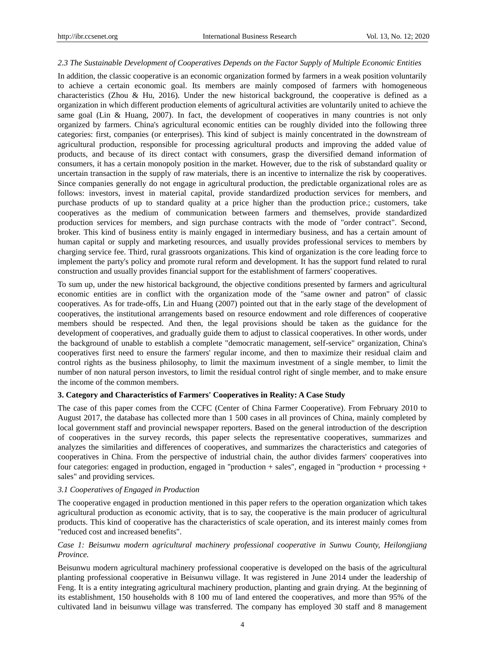#### *2.3 The Sustainable Development of Cooperatives Depends on the Factor Supply of Multiple Economic Entities*

In addition, the classic cooperative is an economic organization formed by farmers in a weak position voluntarily to achieve a certain economic goal. Its members are mainly composed of farmers with homogeneous characteristics (Zhou & Hu, 2016). Under the new historical background, the cooperative is defined as a organization in which different production elements of agricultural activities are voluntarily united to achieve the same goal (Lin & Huang, 2007). In fact, the development of cooperatives in many countries is not only organized by farmers. China's agricultural economic entities can be roughly divided into the following three categories: first, companies (or enterprises). This kind of subject is mainly concentrated in the downstream of agricultural production, responsible for processing agricultural products and improving the added value of products, and because of its direct contact with consumers, grasp the diversified demand information of consumers, it has a certain monopoly position in the market. However, due to the risk of substandard quality or uncertain transaction in the supply of raw materials, there is an incentive to internalize the risk by cooperatives. Since companies generally do not engage in agricultural production, the predictable organizational roles are as follows: investors, invest in material capital, provide standardized production services for members, and purchase products of up to standard quality at a price higher than the production price.; customers, take cooperatives as the medium of communication between farmers and themselves, provide standardized production services for members, and sign purchase contracts with the mode of "order contract". Second, broker. This kind of business entity is mainly engaged in intermediary business, and has a certain amount of human capital or supply and marketing resources, and usually provides professional services to members by charging service fee. Third, rural grassroots organizations. This kind of organization is the core leading force to implement the party's policy and promote rural reform and development. It has the support fund related to rural construction and usually provides financial support for the establishment of farmers' cooperatives.

To sum up, under the new historical background, the objective conditions presented by farmers and agricultural economic entities are in conflict with the organization mode of the "same owner and patron" of classic cooperatives. As for trade-offs, Lin and Huang (2007) pointed out that in the early stage of the development of cooperatives, the institutional arrangements based on resource endowment and role differences of cooperative members should be respected. And then, the legal provisions should be taken as the guidance for the development of cooperatives, and gradually guide them to adjust to classical cooperatives. In other words, under the background of unable to establish a complete "democratic management, self-service" organization, China's cooperatives first need to ensure the farmers' regular income, and then to maximize their residual claim and control rights as the business philosophy, to limit the maximum investment of a single member, to limit the number of non natural person investors, to limit the residual control right of single member, and to make ensure the income of the common members.

# **3. Category and Characteristics of Farmers' Cooperatives in Reality: A Case Study**

The case of this paper comes from the CCFC (Center of China Farmer Cooperative). From February 2010 to August 2017, the database has collected more than 1 500 cases in all provinces of China, mainly completed by local government staff and provincial newspaper reporters. Based on the general introduction of the description of cooperatives in the survey records, this paper selects the representative cooperatives, summarizes and analyzes the similarities and differences of cooperatives, and summarizes the characteristics and categories of cooperatives in China. From the perspective of industrial chain, the author divides farmers' cooperatives into four categories: engaged in production, engaged in "production + sales", engaged in "production + processing + sales" and providing services.

# *3.1 Cooperatives of Engaged in Production*

The cooperative engaged in production mentioned in this paper refers to the operation organization which takes agricultural production as economic activity, that is to say, the cooperative is the main producer of agricultural products. This kind of cooperative has the characteristics of scale operation, and its interest mainly comes from "reduced cost and increased benefits".

# *Case 1: Beisunwu modern agricultural machinery professional cooperative in Sunwu County, Heilongjiang Province.*

Beisunwu modern agricultural machinery professional cooperative is developed on the basis of the agricultural planting professional cooperative in Beisunwu village. It was registered in June 2014 under the leadership of Feng. It is a entity integrating agricultural machinery production, planting and grain drying. At the beginning of its establishment, 150 households with 8 100 mu of land entered the cooperatives, and more than 95% of the cultivated land in beisunwu village was transferred. The company has employed 30 staff and 8 management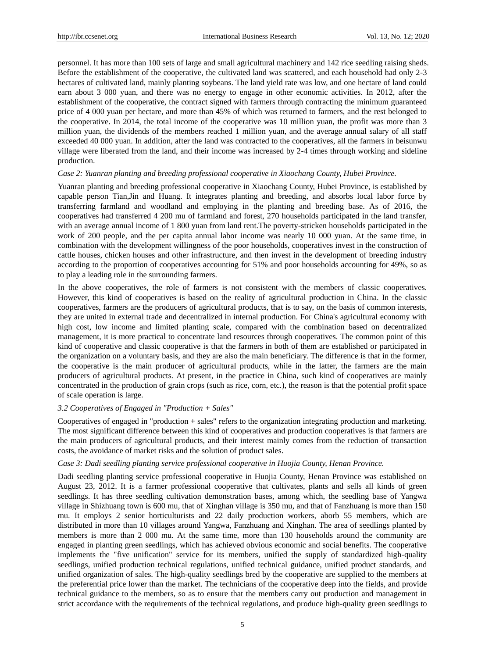personnel. It has more than 100 sets of large and small agricultural machinery and 142 rice seedling raising sheds. Before the establishment of the cooperative, the cultivated land was scattered, and each household had only 2-3 hectares of cultivated land, mainly planting soybeans. The land yield rate was low, and one hectare of land could earn about 3 000 yuan, and there was no energy to engage in other economic activities. In 2012, after the establishment of the cooperative, the contract signed with farmers through contracting the minimum guaranteed price of 4 000 yuan per hectare, and more than 45% of which was returned to farmers, and the rest belonged to the cooperative. In 2014, the total income of the cooperative was 10 million yuan, the profit was more than 3 million yuan, the dividends of the members reached 1 million yuan, and the average annual salary of all staff exceeded 40 000 yuan. In addition, after the land was contracted to the cooperatives, all the farmers in beisunwu village were liberated from the land, and their income was increased by 2-4 times through working and sideline production.

# *Case 2: Yuanran planting and breeding professional cooperative in Xiaochang County, Hubei Province.*

Yuanran planting and breeding professional cooperative in Xiaochang County, Hubei Province, is established by capable person Tian,Jin and Huang. It integrates planting and breeding, and absorbs local labor force by transferring farmland and woodland and employing in the planting and breeding base. As of 2016, the cooperatives had transferred 4 200 mu of farmland and forest, 270 households participated in the land transfer, with an average annual income of 1 800 yuan from land rent.The poverty-stricken households participated in the work of 200 people, and the per capita annual labor income was nearly 10 000 yuan. At the same time, in combination with the development willingness of the poor households, cooperatives invest in the construction of cattle houses, chicken houses and other infrastructure, and then invest in the development of breeding industry according to the proportion of cooperatives accounting for 51% and poor households accounting for 49%, so as to play a leading role in the surrounding farmers.

In the above cooperatives, the role of farmers is not consistent with the members of classic cooperatives. However, this kind of cooperatives is based on the reality of agricultural production in China. In the classic cooperatives, farmers are the producers of agricultural products, that is to say, on the basis of common interests, they are united in external trade and decentralized in internal production. For China's agricultural economy with high cost, low income and limited planting scale, compared with the combination based on decentralized management, it is more practical to concentrate land resources through cooperatives. The common point of this kind of cooperative and classic cooperative is that the farmers in both of them are established or participated in the organization on a voluntary basis, and they are also the main beneficiary. The difference is that in the former, the cooperative is the main producer of agricultural products, while in the latter, the farmers are the main producers of agricultural products. At present, in the practice in China, such kind of cooperatives are mainly concentrated in the production of grain crops (such as rice, corn, etc.), the reason is that the potential profit space of scale operation is large.

## *3.2 Cooperatives of Engaged in "Production + Sales"*

Cooperatives of engaged in "production + sales" refers to the organization integrating production and marketing. The most significant difference between this kind of cooperatives and production cooperatives is that farmers are the main producers of agricultural products, and their interest mainly comes from the reduction of transaction costs, the avoidance of market risks and the solution of product sales.

#### *Case 3: Dadi seedling planting service professional cooperative in Huojia County, Henan Province.*

Dadi seedling planting service professional cooperative in Huojia County, Henan Province was established on August 23, 2012. It is a farmer professional cooperative that cultivates, plants and sells all kinds of green seedlings. It has three seedling cultivation demonstration bases, among which, the seedling base of Yangwa village in Shizhuang town is 600 mu, that of Xinghan village is 350 mu, and that of Fanzhuang is more than 150 mu. It employs 2 senior horticulturists and 22 daily production workers, aborb 55 members, which are distributed in more than 10 villages around Yangwa, Fanzhuang and Xinghan. The area of seedlings planted by members is more than 2 000 mu. At the same time, more than 130 households around the community are engaged in planting green seedlings, which has achieved obvious economic and social benefits. The cooperative implements the "five unification" service for its members, unified the supply of standardized high-quality seedlings, unified production technical regulations, unified technical guidance, unified product standards, and unified organization of sales. The high-quality seedlings bred by the cooperative are supplied to the members at the preferential price lower than the market. The technicians of the cooperative deep into the fields, and provide technical guidance to the members, so as to ensure that the members carry out production and management in strict accordance with the requirements of the technical regulations, and produce high-quality green seedlings to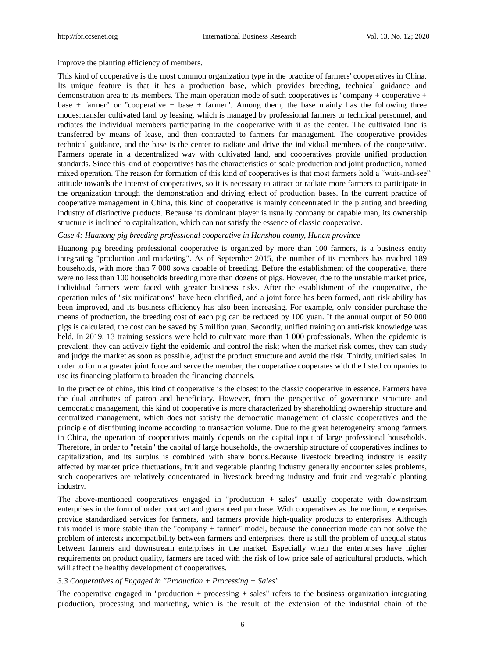improve the planting efficiency of members.

This kind of cooperative is the most common organization type in the practice of farmers' cooperatives in China. Its unique feature is that it has a production base, which provides breeding, technical guidance and demonstration area to its members. The main operation mode of such cooperatives is "company + cooperative + base + farmer" or "cooperative + base + farmer". Among them, the base mainly has the following three modes:transfer cultivated land by leasing, which is managed by professional farmers or technical personnel, and radiates the individual members participating in the cooperative with it as the center. The cultivated land is transferred by means of lease, and then contracted to farmers for management. The cooperative provides technical guidance, and the base is the center to radiate and drive the individual members of the cooperative. Farmers operate in a decentralized way with cultivated land, and cooperatives provide unified production standards. Since this kind of cooperatives has the characteristics of scale production and joint production, named mixed operation. The reason for formation of this kind of cooperatives is that most farmers hold a "wait-and-see" attitude towards the interest of cooperatives, so it is necessary to attract or radiate more farmers to participate in the organization through the demonstration and driving effect of production bases. In the current practice of cooperative management in China, this kind of cooperative is mainly concentrated in the planting and breeding industry of distinctive products. Because its dominant player is usually company or capable man, its ownership structure is inclined to capitalization, which can not satisfy the essence of classic cooperative.

#### *Case 4: Huanong pig breeding professional cooperative in Hanshou county, Hunan province*

Huanong pig breeding professional cooperative is organized by more than 100 farmers, is a business entity integrating "production and marketing". As of September 2015, the number of its members has reached 189 households, with more than 7 000 sows capable of breeding. Before the establishment of the cooperative, there were no less than 100 households breeding more than dozens of pigs. However, due to the unstable market price, individual farmers were faced with greater business risks. After the establishment of the cooperative, the operation rules of "six unifications" have been clarified, and a joint force has been formed, anti risk ability has been improved, and its business efficiency has also been increasing. For example, only consider purchase the means of production, the breeding cost of each pig can be reduced by 100 yuan. If the annual output of 50 000 pigs is calculated, the cost can be saved by 5 million yuan. Secondly, unified training on anti-risk knowledge was held. In 2019, 13 training sessions were held to cultivate more than 1 000 professionals. When the epidemic is prevalent, they can actively fight the epidemic and control the risk; when the market risk comes, they can study and judge the market as soon as possible, adjust the product structure and avoid the risk. Thirdly, unified sales. In order to form a greater joint force and serve the member, the cooperative cooperates with the listed companies to use its financing platform to broaden the financing channels.

In the practice of china, this kind of cooperative is the closest to the classic cooperative in essence. Farmers have the dual attributes of patron and beneficiary. However, from the perspective of governance structure and democratic management, this kind of cooperative is more characterized by shareholding ownership structure and centralized management, which does not satisfy the democratic management of classic cooperatives and the principle of distributing income according to transaction volume. Due to the great heterogeneity among farmers in China, the operation of cooperatives mainly depends on the capital input of large professional households. Therefore, in order to "retain" the capital of large households, the ownership structure of cooperatives inclines to capitalization, and its surplus is combined with share bonus.Because livestock breeding industry is easily affected by market price fluctuations, fruit and vegetable planting industry generally encounter sales problems, such cooperatives are relatively concentrated in livestock breeding industry and fruit and vegetable planting industry.

The above-mentioned cooperatives engaged in "production + sales" usually cooperate with downstream enterprises in the form of order contract and guaranteed purchase. With cooperatives as the medium, enterprises provide standardized services for farmers, and farmers provide high-quality products to enterprises. Although this model is more stable than the "company + farmer" model, because the connection mode can not solve the problem of interests incompatibility between farmers and enterprises, there is still the problem of unequal status between farmers and downstream enterprises in the market. Especially when the enterprises have higher requirements on product quality, farmers are faced with the risk of low price sale of agricultural products, which will affect the healthy development of cooperatives.

#### *3.3 Cooperatives of Engaged in "Production + Processing + Sales"*

The cooperative engaged in "production + processing + sales" refers to the business organization integrating production, processing and marketing, which is the result of the extension of the industrial chain of the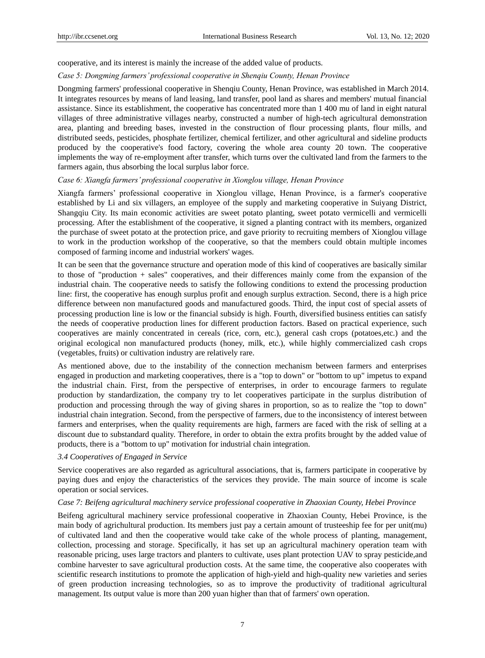cooperative, and its interest is mainly the increase of the added value of products.

#### *Case 5: Dongming farmers' professional cooperative in Shenqiu County, Henan Province*

Dongming farmers' professional cooperative in Shenqiu County, Henan Province, was established in March 2014. It integrates resources by means of land leasing, land transfer, pool land as shares and members' mutual financial assistance. Since its establishment, the cooperative has concentrated more than 1 400 mu of land in eight natural villages of three administrative villages nearby, constructed a number of high-tech agricultural demonstration area, planting and breeding bases, invested in the construction of flour processing plants, flour mills, and distributed seeds, pesticides, phosphate fertilizer, chemical fertilizer, and other agricultural and sideline products produced by the cooperative's food factory, covering the whole area county 20 town. The cooperative implements the way of re-employment after transfer, which turns over the cultivated land from the farmers to the farmers again, thus absorbing the local surplus labor force.

#### *Case 6: Xiangfa farmers' professional cooperative in Xionglou village, Henan Province*

Xiangfa farmers' professional cooperative in Xionglou village, Henan Province, is a farmer's cooperative established by Li and six villagers, an employee of the supply and marketing cooperative in Suiyang District, Shangqiu City. Its main economic activities are sweet potato planting, sweet potato vermicelli and vermicelli processing. After the establishment of the cooperative, it signed a planting contract with its members, organized the purchase of sweet potato at the protection price, and gave priority to recruiting members of Xionglou village to work in the production workshop of the cooperative, so that the members could obtain multiple incomes composed of farming income and industrial workers' wages.

It can be seen that the governance structure and operation mode of this kind of cooperatives are basically similar to those of "production + sales" cooperatives, and their differences mainly come from the expansion of the industrial chain. The cooperative needs to satisfy the following conditions to extend the processing production line: first, the cooperative has enough surplus profit and enough surplus extraction. Second, there is a high price difference between non manufactured goods and manufactured goods. Third, the input cost of special assets of processing production line is low or the financial subsidy is high. Fourth, diversified business entities can satisfy the needs of cooperative production lines for different production factors. Based on practical experience, such cooperatives are mainly concentrated in cereals (rice, corn, etc.), general cash crops (potatoes,etc.) and the original ecological non manufactured products (honey, milk, etc.), while highly commercialized cash crops (vegetables, fruits) or cultivation industry are relatively rare.

As mentioned above, due to the instability of the connection mechanism between farmers and enterprises engaged in production and marketing cooperatives, there is a "top to down" or "bottom to up" impetus to expand the industrial chain. First, from the perspective of enterprises, in order to encourage farmers to regulate production by standardization, the company try to let cooperatives participate in the surplus distribution of production and processing through the way of giving shares in proportion, so as to realize the "top to down" industrial chain integration. Second, from the perspective of farmers, due to the inconsistency of interest between farmers and enterprises, when the quality requirements are high, farmers are faced with the risk of selling at a discount due to substandard quality. Therefore, in order to obtain the extra profits brought by the added value of products, there is a "bottom to up" motivation for industrial chain integration.

# *3.4 Cooperatives of Engaged in Service*

Service cooperatives are also regarded as agricultural associations, that is, farmers participate in cooperative by paying dues and enjoy the characteristics of the services they provide. The main source of income is scale operation or social services.

#### *Case 7: Beifeng agricultural machinery service professional cooperative in Zhaoxian County, Hebei Province*

Beifeng agricultural machinery service professional cooperative in Zhaoxian County, Hebei Province, is the main body of agrichultural production. Its members just pay a certain amount of trusteeship fee for per unit(mu) of cultivated land and then the cooperative would take cake of the whole process of planting, management, collection, processing and storage. Specifically, it has set up an agricultural machinery operation team with reasonable pricing, uses large tractors and planters to cultivate, uses plant protection UAV to spray pesticide,and combine harvester to save agricultural production costs. At the same time, the cooperative also cooperates with scientific research institutions to promote the application of high-yield and high-quality new varieties and series of green production increasing technologies, so as to improve the productivity of traditional agricultural management. Its output value is more than 200 yuan higher than that of farmers' own operation.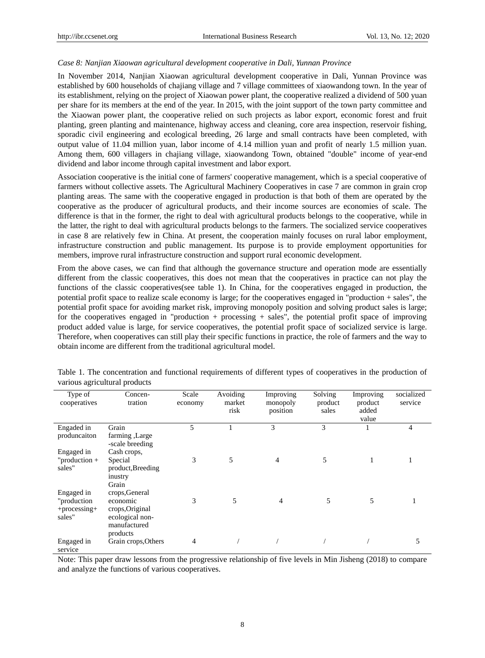#### *Case 8: Nanjian Xiaowan agricultural development cooperative in Dali, Yunnan Province*

In November 2014, Nanjian Xiaowan agricultural development cooperative in Dali, Yunnan Province was established by 600 households of chajiang village and 7 village committees of xiaowandong town. In the year of its establishment, relying on the project of Xiaowan power plant, the cooperative realized a dividend of 500 yuan per share for its members at the end of the year. In 2015, with the joint support of the town party committee and the Xiaowan power plant, the cooperative relied on such projects as labor export, economic forest and fruit planting, green planting and maintenance, highway access and cleaning, core area inspection, reservoir fishing, sporadic civil engineering and ecological breeding, 26 large and small contracts have been completed, with output value of 11.04 million yuan, labor income of 4.14 million yuan and profit of nearly 1.5 million yuan. Among them, 600 villagers in chajiang village, xiaowandong Town, obtained "double" income of year-end dividend and labor income through capital investment and labor export.

Association cooperative is the initial cone of farmers' cooperative management, which is a special cooperative of farmers without collective assets. The Agricultural Machinery Cooperatives in case 7 are common in grain crop planting areas. The same with the cooperative engaged in production is that both of them are operated by the cooperative as the producer of agricultural products, and their income sources are economies of scale. The difference is that in the former, the right to deal with agricultural products belongs to the cooperative, while in the latter, the right to deal with agricultural products belongs to the farmers. The socialized service cooperatives in case 8 are relatively few in China. At present, the cooperation mainly focuses on rural labor employment, infrastructure construction and public management. Its purpose is to provide employment opportunities for members, improve rural infrastructure construction and support rural economic development.

From the above cases, we can find that although the governance structure and operation mode are essentially different from the classic cooperatives, this does not mean that the cooperatives in practice can not play the functions of the classic cooperatives(see table 1). In China, for the cooperatives engaged in production, the potential profit space to realize scale economy is large; for the cooperatives engaged in "production + sales", the potential profit space for avoiding market risk, improving monopoly position and solving product sales is large; for the cooperatives engaged in "production + processing + sales", the potential profit space of improving product added value is large, for service cooperatives, the potential profit space of socialized service is large. Therefore, when cooperatives can still play their specific functions in practice, the role of farmers and the way to obtain income are different from the traditional agricultural model.

| Type of<br>cooperatives  | Concen-<br>tration                 | Scale<br>economy | Avoiding<br>market<br>risk | Improving<br>monopoly<br>position | Solving<br>product<br>sales | Improving<br>product<br>added<br>value | socialized<br>service |
|--------------------------|------------------------------------|------------------|----------------------------|-----------------------------------|-----------------------------|----------------------------------------|-----------------------|
| Engaded in               | Grain                              | 5                |                            | 3                                 | 3                           |                                        | 4                     |
| produncaiton             | farming, Large<br>-scale breeding  |                  |                            |                                   |                             |                                        |                       |
| Engaged in               | Cash crops,                        |                  |                            |                                   |                             |                                        |                       |
| "production $+$          | Special                            | 3                | 5                          | $\overline{4}$                    | 5                           |                                        |                       |
| sales"                   | product, Breeding                  |                  |                            |                                   |                             |                                        |                       |
|                          | inustry                            |                  |                            |                                   |                             |                                        |                       |
|                          | Grain                              |                  |                            |                                   |                             |                                        |                       |
| Engaged in               | crops, General                     |                  |                            |                                   |                             |                                        |                       |
| "production"             | economic                           | 3                | 5                          | 4                                 | 5                           | 5                                      |                       |
| $+processing+$<br>sales" | crops, Original<br>ecological non- |                  |                            |                                   |                             |                                        |                       |
|                          | manufactured                       |                  |                            |                                   |                             |                                        |                       |
|                          | products                           |                  |                            |                                   |                             |                                        |                       |
| Engaged in               | Grain crops, Others                | 4                |                            |                                   |                             |                                        | 5                     |
| service                  |                                    |                  |                            |                                   |                             |                                        |                       |

Table 1. The concentration and functional requirements of different types of cooperatives in the production of various agricultural products

Note: This paper draw lessons from the progressive relationship of five levels in Min Jisheng (2018) to compare and analyze the functions of various cooperatives.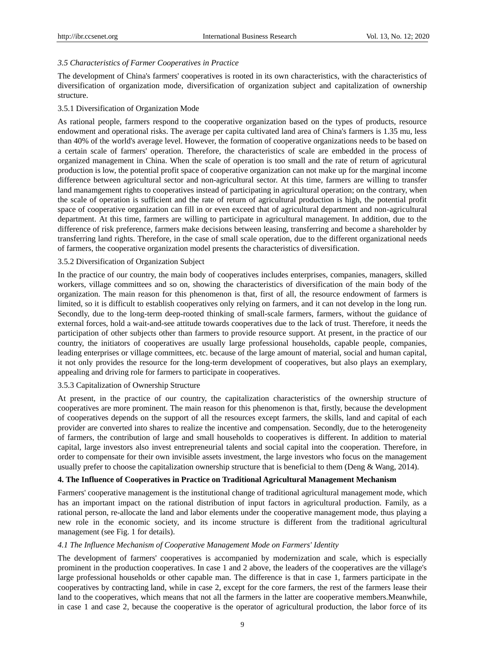### *3.5 Characteristics of Farmer Cooperatives in Practice*

The development of China's farmers' cooperatives is rooted in its own characteristics, with the characteristics of diversification of organization mode, diversification of organization subject and capitalization of ownership structure.

#### 3.5.1 Diversification of Organization Mode

As rational people, farmers respond to the cooperative organization based on the types of products, resource endowment and operational risks. The average per capita cultivated land area of China's farmers is 1.35 mu, less than 40% of the world's average level. However, the formation of cooperative organizations needs to be based on a certain scale of farmers' operation. Therefore, the characteristics of scale are embedded in the process of organized management in China. When the scale of operation is too small and the rate of return of agricutural production is low, the potential profit space of cooperative organization can not make up for the marginal income difference between agricultural sector and non-agricultural sector. At this time, farmers are willing to transfer land manamgement rights to cooperatives instead of participating in agricultural operation; on the contrary, when the scale of operation is sufficient and the rate of return of agricultural production is high, the potential profit space of cooperative organization can fill in or even exceed that of agricultural department and non-agricultural department. At this time, farmers are willing to participate in agricultural management. In addition, due to the difference of risk preference, farmers make decisions between leasing, transferring and become a shareholder by transferring land rights. Therefore, in the case of small scale operation, due to the different organizational needs of farmers, the cooperative organization model presents the characteristics of diversification.

#### 3.5.2 Diversification of Organization Subject

In the practice of our country, the main body of cooperatives includes enterprises, companies, managers, skilled workers, village committees and so on, showing the characteristics of diversification of the main body of the organization. The main reason for this phenomenon is that, first of all, the resource endowment of farmers is limited, so it is difficult to establish cooperatives only relying on farmers, and it can not develop in the long run. Secondly, due to the long-term deep-rooted thinking of small-scale farmers, farmers, without the guidance of external forces, hold a wait-and-see attitude towards cooperatives due to the lack of trust. Therefore, it needs the participation of other subjects other than farmers to provide resource support. At present, in the practice of our country, the initiators of cooperatives are usually large professional households, capable people, companies, leading enterprises or village committees, etc. because of the large amount of material, social and human capital, it not only provides the resource for the long-term development of cooperatives, but also plays an exemplary, appealing and driving role for farmers to participate in cooperatives.

#### 3.5.3 Capitalization of Ownership Structure

At present, in the practice of our country, the capitalization characteristics of the ownership structure of cooperatives are more prominent. The main reason for this phenomenon is that, firstly, because the development of cooperatives depends on the support of all the resources except farmers, the skills, land and capital of each provider are converted into shares to realize the incentive and compensation. Secondly, due to the heterogeneity of farmers, the contribution of large and small households to cooperatives is different. In addition to material capital, large investors also invest entrepreneurial talents and social capital into the cooperation. Therefore, in order to compensate for their own invisible assets investment, the large investors who focus on the management usually prefer to choose the capitalization ownership structure that is beneficial to them (Deng & Wang, 2014).

#### **4. The Influence of Cooperatives in Practice on Traditional Agricultural Management Mechanism**

Farmers' cooperative management is the institutional change of traditional agricultural management mode, which has an important impact on the rational distribution of input factors in agricultural production. Family, as a rational person, re-allocate the land and labor elements under the cooperative management mode, thus playing a new role in the economic society, and its income structure is different from the traditional agricultural management (see Fig. 1 for details).

#### *4.1 The Influence Mechanism of Cooperative Management Mode on Farmers' Identity*

The development of farmers' cooperatives is accompanied by modernization and scale, which is especially prominent in the production cooperatives. In case 1 and 2 above, the leaders of the cooperatives are the village's large professional households or other capable man. The difference is that in case 1, farmers participate in the cooperatives by contracting land, while in case 2, except for the core farmers, the rest of the farmers lease their land to the cooperatives, which means that not all the farmers in the latter are cooperative members.Meanwhile, in case 1 and case 2, because the cooperative is the operator of agricultural production, the labor force of its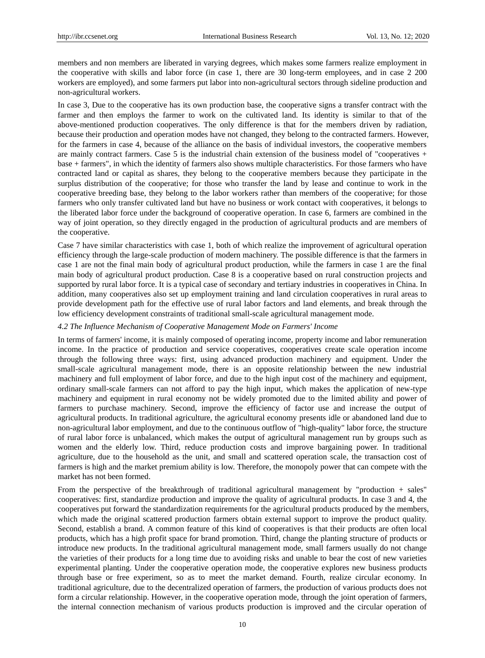members and non members are liberated in varying degrees, which makes some farmers realize employment in the cooperative with skills and labor force (in case 1, there are 30 long-term employees, and in case 2 200 workers are employed), and some farmers put labor into non-agricultural sectors through sideline production and non-agricultural workers.

In case 3, Due to the cooperative has its own production base, the cooperative signs a transfer contract with the farmer and then employs the farmer to work on the cultivated land. Its identity is similar to that of the above-mentioned production cooperatives. The only difference is that for the members driven by radiation, because their production and operation modes have not changed, they belong to the contracted farmers. However, for the farmers in case 4, because of the alliance on the basis of individual investors, the cooperative members are mainly contract farmers. Case 5 is the industrial chain extension of the business model of "cooperatives + base + farmers", in which the identity of farmers also shows multiple characteristics. For those farmers who have contracted land or capital as shares, they belong to the cooperative members because they participate in the surplus distribution of the cooperative; for those who transfer the land by lease and continue to work in the cooperative breeding base, they belong to the labor workers rather than members of the cooperative; for those farmers who only transfer cultivated land but have no business or work contact with cooperatives, it belongs to the liberated labor force under the background of cooperative operation. In case 6, farmers are combined in the way of joint operation, so they directly engaged in the production of agricultural products and are members of the cooperative.

Case 7 have similar characteristics with case 1, both of which realize the improvement of agricultural operation efficiency through the large-scale production of modern machinery. The possible difference is that the farmers in case 1 are not the final main body of agricultural product production, while the farmers in case 1 are the final main body of agricultural product production. Case 8 is a cooperative based on rural construction projects and supported by rural labor force. It is a typical case of secondary and tertiary industries in cooperatives in China. In addition, many cooperatives also set up employment training and land circulation cooperatives in rural areas to provide development path for the effective use of rural labor factors and land elements, and break through the low efficiency development constraints of traditional small-scale agricultural management mode.

#### *4.2 The Influence Mechanism of Cooperative Management Mode on Farmers' Income*

In terms of farmers' income, it is mainly composed of operating income, property income and labor remuneration income. In the practice of production and service cooperatives, cooperatives create scale operation income through the following three ways: first, using advanced production machinery and equipment. Under the small-scale agricultural management mode, there is an opposite relationship between the new industrial machinery and full employment of labor force, and due to the high input cost of the machinery and equipment, ordinary small-scale farmers can not afford to pay the high input, which makes the application of new-type machinery and equipment in rural economy not be widely promoted due to the limited ability and power of farmers to purchase machinery. Second, improve the efficiency of factor use and increase the output of agricultural products. In traditional agriculture, the agricultural economy presents idle or abandoned land due to non-agricultural labor employment, and due to the continuous outflow of "high-quality" labor force, the structure of rural labor force is unbalanced, which makes the output of agricultural management run by groups such as women and the elderly low. Third, reduce production costs and improve bargaining power. In traditional agriculture, due to the household as the unit, and small and scattered operation scale, the transaction cost of farmers is high and the market premium ability is low. Therefore, the monopoly power that can compete with the market has not been formed.

From the perspective of the breakthrough of traditional agricultural management by "production + sales" cooperatives: first, standardize production and improve the quality of agricultural products. In case 3 and 4, the cooperatives put forward the standardization requirements for the agricultural products produced by the members, which made the original scattered production farmers obtain external support to improve the product quality. Second, establish a brand. A common feature of this kind of cooperatives is that their products are often local products, which has a high profit space for brand promotion. Third, change the planting structure of products or introduce new products. In the traditional agricultural management mode, small farmers usually do not change the varieties of their products for a long time due to avoiding risks and unable to bear the cost of new varieties experimental planting. Under the cooperative operation mode, the cooperative explores new business products through base or free experiment, so as to meet the market demand. Fourth, realize circular economy. In traditional agriculture, due to the decentralized operation of farmers, the production of various products does not form a circular relationship. However, in the cooperative operation mode, through the joint operation of farmers, the internal connection mechanism of various products production is improved and the circular operation of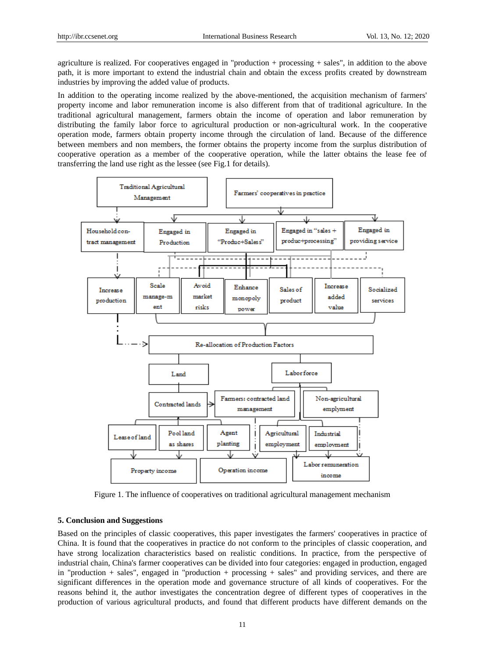agriculture is realized. For cooperatives engaged in "production + processing + sales", in addition to the above path, it is more important to extend the industrial chain and obtain the excess profits created by downstream industries by improving the added value of products.

In addition to the operating income realized by the above-mentioned, the acquisition mechanism of farmers' property income and labor remuneration income is also different from that of traditional agriculture. In the traditional agricultural management, farmers obtain the income of operation and labor remuneration by distributing the family labor force to agricultural production or non-agricultural work. In the cooperative operation mode, farmers obtain property income through the circulation of land. Because of the difference between members and non members, the former obtains the property income from the surplus distribution of cooperative operation as a member of the cooperative operation, while the latter obtains the lease fee of transferring the land use right as the lessee (see Fig.1 for details).



Figure 1. The influence of cooperatives on traditional agricultural management mechanism

#### **5. Conclusion and Suggestions**

Based on the principles of classic cooperatives, this paper investigates the farmers' cooperatives in practice of China. It is found that the cooperatives in practice do not conform to the principles of classic cooperation, and have strong localization characteristics based on realistic conditions. In practice, from the perspective of industrial chain, China's farmer cooperatives can be divided into four categories: engaged in production, engaged in "production + sales", engaged in "production + processing + sales" and providing services, and there are significant differences in the operation mode and governance structure of all kinds of cooperatives. For the reasons behind it, the author investigates the concentration degree of different types of cooperatives in the production of various agricultural products, and found that different products have different demands on the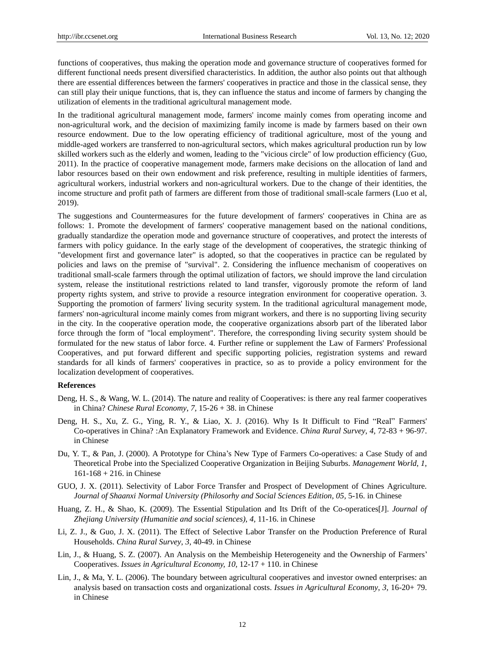functions of cooperatives, thus making the operation mode and governance structure of cooperatives formed for different functional needs present diversified characteristics. In addition, the author also points out that although there are essential differences between the farmers' cooperatives in practice and those in the classical sense, they can still play their unique functions, that is, they can influence the status and income of farmers by changing the utilization of elements in the traditional agricultural management mode.

In the traditional agricultural management mode, farmers' income mainly comes from operating income and non-agricultural work, and the decision of maximizing family income is made by farmers based on their own resource endowment. Due to the low operating efficiency of traditional agriculture, most of the young and middle-aged workers are transferred to non-agricultural sectors, which makes agricultural production run by low skilled workers such as the elderly and women, leading to the "vicious circle" of low production efficiency (Guo, 2011). In the practice of cooperative management mode, farmers make decisions on the allocation of land and labor resources based on their own endowment and risk preference, resulting in multiple identities of farmers, agricultural workers, industrial workers and non-agricultural workers. Due to the change of their identities, the income structure and profit path of farmers are different from those of traditional small-scale farmers (Luo et al, 2019).

The suggestions and Countermeasures for the future development of farmers' cooperatives in China are as follows: 1. Promote the development of farmers' cooperative management based on the national conditions, gradually standardize the operation mode and governance structure of cooperatives, and protect the interests of farmers with policy guidance. In the early stage of the development of cooperatives, the strategic thinking of "development first and governance later" is adopted, so that the cooperatives in practice can be regulated by policies and laws on the premise of "survival". 2. Considering the influence mechanism of cooperatives on traditional small-scale farmers through the optimal utilization of factors, we should improve the land circulation system, release the institutional restrictions related to land transfer, vigorously promote the reform of land property rights system, and strive to provide a resource integration environment for cooperative operation. 3. Supporting the promotion of farmers' living security system. In the traditional agricultural management mode, farmers' non-agricultural income mainly comes from migrant workers, and there is no supporting living security in the city. In the cooperative operation mode, the cooperative organizations absorb part of the liberated labor force through the form of "local employment". Therefore, the corresponding living security system should be formulated for the new status of labor force. 4. Further refine or supplement the Law of Farmers' Professional Cooperatives, and put forward different and specific supporting policies, registration systems and reward standards for all kinds of farmers' cooperatives in practice, so as to provide a policy environment for the localization development of cooperatives.

#### **References**

- Deng, H. S., & Wang, W. L. (2014). The nature and reality of Cooperatives: is there any real farmer cooperatives in China? *Chinese Rural Economy*, *7,* 15-26 + 38. in Chinese
- Deng, H. S., Xu, Z. G., Ying, R. Y., & Liao, X. J. (2016). Why Is It Difficult to Find "Real" Farmers' Co-operatives in China? :An Explanatory Framework and Evidence. *China Rural Survey*, *4,* 72-83 + 96-97. in Chinese
- Du, Y. T., & Pan, J. (2000). A Prototype for China's New Type of Farmers Co-operatives: a Case Study of and Theoretical Probe into the Specialized Cooperative Organization in Beijing Suburbs. *Management World*, *1,* 161-168 + 216. in Chinese
- GUO, J. X. (2011). Selectivity of Labor Force Transfer and Prospect of Development of Chines Agriculture. *Journal of Shaanxi Normal University (Philosorhy and Social Sciences Edition, 05, 5-16. in Chinese*
- Huang, Z. H., & Shao, K. (2009). The Essential Stipulation and Its Drift of the Co-operatices[J]. *Journal of Zhejiang University (Humanitie and social sciences)*, *4,* 11-16. in Chinese
- Li, Z. J., & Guo, J. X. (2011). The Effect of Selective Labor Transfer on the Production Preference of Rural Households. *China Rural Survey*, *3,* 40-49. in Chinese
- Lin, J., & Huang, S. Z. (2007). An Analysis on the Membeiship Heterogeneity and the Ownership of Farmers' Cooperatives. *Issues in Agricultural Economy, 10,* 12-17 + 110. in Chinese
- Lin, J., & Ma, Y. L. (2006). The boundary between agricultural cooperatives and investor owned enterprises: an analysis based on transaction costs and organizational costs. *Issues in Agricultural Economy*, *3,* 16-20+ 79. in Chinese